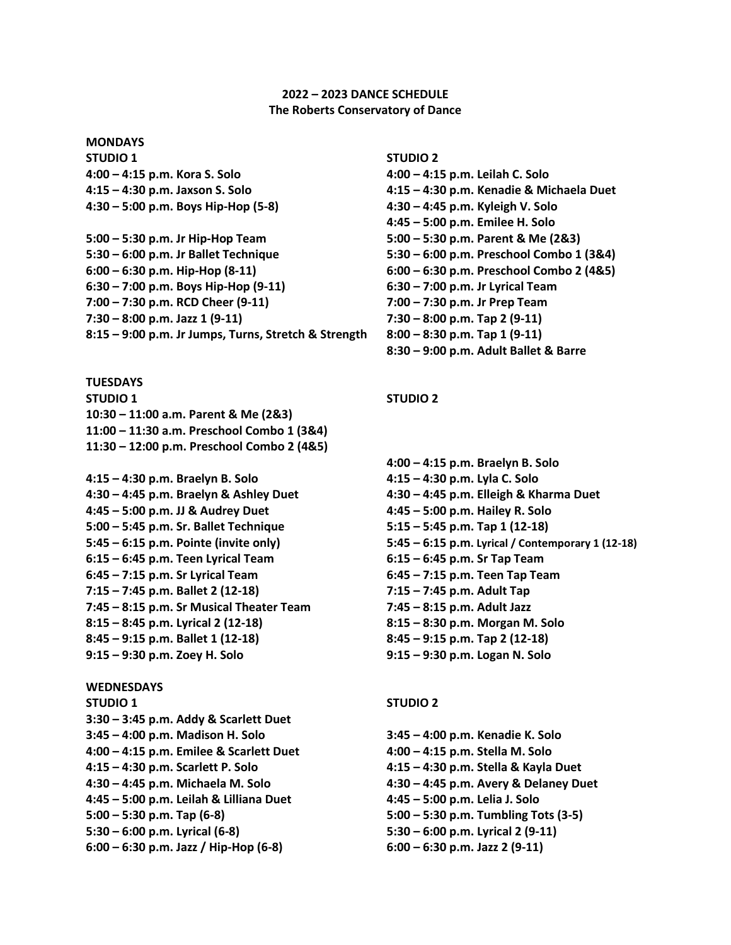### **2022 – 2023 DANCE SCHEDULE The Roberts Conservatory of Dance**

**MONDAYS STUDIO 1 STUDIO 2 4:00 – 4:15 p.m. Kora S. Solo 4:00 – 4:15 p.m. Leilah C. Solo 4:30 – 5:00 p.m. Boys Hip-Hop (5-8) 4:30 – 4:45 p.m. Kyleigh V. Solo**

**5:00 – 5:30 p.m. Jr Hip-Hop Team 5:00 – 5:30 p.m. Parent & Me (2&3) 5:30 – 6:00 p.m. Jr Ballet Technique 5:30 – 6:00 p.m. Preschool Combo 1 (3&4) 6:00 – 6:30 p.m. Hip-Hop (8-11) 6:00 – 6:30 p.m. Preschool Combo 2 (4&5) 6:30 – 7:00 p.m. Boys Hip-Hop (9-11) 6:30 – 7:00 p.m. Jr Lyrical Team 7:00 – 7:30 p.m. RCD Cheer (9-11) 7:00 – 7:30 p.m. Jr Prep Team 7:30 – 8:00 p.m. Jazz 1 (9-11) 7:30 – 8:00 p.m. Tap 2 (9-11) 8:15 – 9:00 p.m. Jr Jumps, Turns, Stretch & Strength 8:00 – 8:30 p.m. Tap 1 (9-11)**

**TUESDAYS STUDIO 1 STUDIO 2 10:30 – 11:00 a.m. Parent & Me (2&3) 11:00 – 11:30 a.m. Preschool Combo 1 (3&4) 11:30 – 12:00 p.m. Preschool Combo 2 (4&5)**

**4:15 – 4:30 p.m. Braelyn B. Solo 4:15 – 4:30 p.m. Lyla C. Solo 4:30 – 4:45 p.m. Braelyn & Ashley Duet 4:30 – 4:45 p.m. Elleigh & Kharma Duet 4:45 – 5:00 p.m. JJ & Audrey Duet 4:45 – 5:00 p.m. Hailey R. Solo 5:00 – 5:45 p.m. Sr. Ballet Technique 5:15 – 5:45 p.m. Tap 1 (12-18) 6:15 – 6:45 p.m. Teen Lyrical Team 6:15 – 6:45 p.m. Sr Tap Team 6:45 – 7:15 p.m. Sr Lyrical Team 6:45 – 7:15 p.m. Teen Tap Team 7:15 – 7:45 p.m. Ballet 2 (12-18) 7:15 – 7:45 p.m. Adult Tap 7:45 – 8:15 p.m. Sr Musical Theater Team 7:45 – 8:15 p.m. Adult Jazz 8:15 – 8:45 p.m. Lyrical 2 (12-18) 8:15 – 8:30 p.m. Morgan M. Solo 8:45 – 9:15 p.m. Ballet 1 (12-18) 8:45 – 9:15 p.m. Tap 2 (12-18) 9:15 – 9:30 p.m. Zoey H. Solo 9:15 – 9:30 p.m. Logan N. Solo**

# **WEDNESDAYS STUDIO 1 STUDIO 2 3:30 – 3:45 p.m. Addy & Scarlett Duet 3:45 – 4:00 p.m. Madison H. Solo 3:45 – 4:00 p.m. Kenadie K. Solo 4:00 – 4:15 p.m. Emilee & Scarlett Duet 4:00 – 4:15 p.m. Stella M. Solo 4:15 – 4:30 p.m. Scarlett P. Solo 4:15 – 4:30 p.m. Stella & Kayla Duet 4:30 – 4:45 p.m. Michaela M. Solo 4:30 – 4:45 p.m. Avery & Delaney Duet 4:45 – 5:00 p.m. Leilah & Lilliana Duet 4:45 – 5:00 p.m. Lelia J. Solo 5:00 – 5:30 p.m. Tap (6-8) 5:00 – 5:30 p.m. Tumbling Tots (3-5) 5:30 – 6:00 p.m. Lyrical (6-8) 5:30 – 6:00 p.m. Lyrical 2 (9-11) 6:00 – 6:30 p.m. Jazz / Hip-Hop (6-8) 6:00 – 6:30 p.m. Jazz 2 (9-11)**

**4:15 – 4:30 p.m. Jaxson S. Solo 4:15 – 4:30 p.m. Kenadie & Michaela Duet 4:45 – 5:00 p.m. Emilee H. Solo 8:30 – 9:00 p.m. Adult Ballet & Barre**

**4:00 – 4:15 p.m. Braelyn B. Solo 5:45 – 6:15 p.m. Pointe (invite only) 5:45 – 6:15 p.m. Lyrical / Contemporary 1 (12-18)**